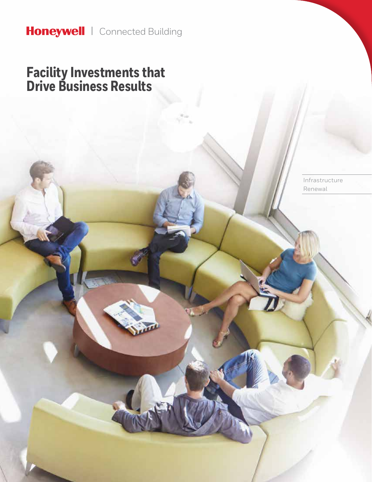## **Facility Investments that Drive Business Results**

Infrastructure Renewal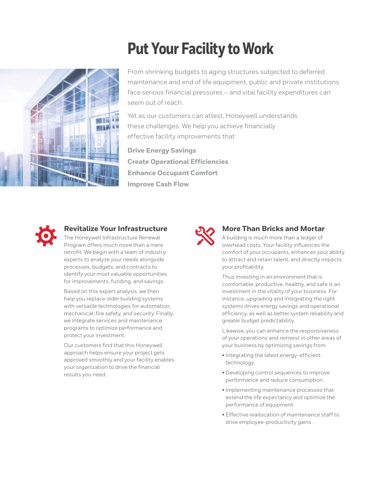# **Put Your Facility to Work**

From shrinking budgets to aging structures subjected to deferred maintenance and end of life equipment, public and private institutions face serious financial pressures – and vital facility expenditures can seem out of reach.

Yet as our customers can attest, Honeywell understands these challenges. We help you achieve financially effective facility improvements that:

**Drive Energy Savings Create Operational Efficiencies Enhance Occupant Comfort Improve Cash Flow**



### **Revitalize Your Infrastructure**

The Honeywell Infrastructure Renewal Program offers much more than a mere retrofit. We begin with a team of industry experts to analyze your needs alongside processes, budgets, and contracts to identify your most valuable opportunities for improvements, funding, and savings.

Based on this expert analysis, we then help you replace older building systems with versatile technologies for automation, mechanical, fire safety, and security. Finally, we integrate services and maintenance programs to optimize performance and protect your investment.

Our customers find that this Honeywell approach helps ensure your project gets approved smoothly and your facility enables your organization to drive the financial results you need.



#### **More Than Bricks and Mortar**

A building is much more than a ledger of overhead costs. Your facility influences the comfort of your occupants, enhances your ability to attract and retain talent, and directly impacts your profitability.

Thus investing in an environment that is comfortable, productive, healthy, and safe is an investment in the vitality of your business. For instance, upgrading and integrating the right systems drives energy savings and operational efficiency, as well as better system reliability and greater budget predictability.

Likewise, you can enhance the responsiveness of your operations and reinvest in other areas of your business by optimizing savings from:

- Integrating the latest energy-efficient technology.
- Developing control sequences to improve performance and reduce consumption.
- Implementing maintenance processes that extend the life expectancy and optimize the performance of equipment.
- Effective reallocation of maintenance staff to drive employee-productivity gains.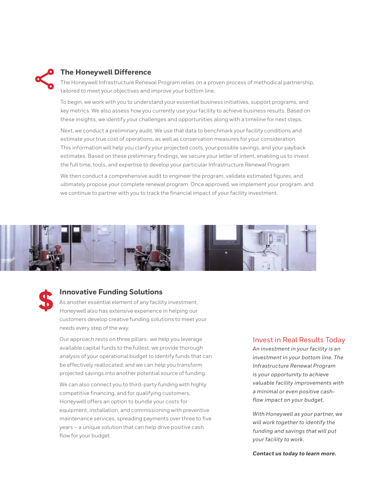

#### **The Honeywell Difference**

The Honeywell Infrastructure Renewal Program relies on a proven process of methodical partnership, tailored to meet your objectives and improve your bottom line.

To begin, we work with you to understand your essential business initiatives, support programs, and key metrics. We also assess how you currently use your facility to achieve business results. Based on these insights, we identify your challenges and opportunities along with a timeline for next steps.

Next, we conduct a preliminary audit. We use that data to benchmark your facility conditions and estimate your true cost of operations, as well as conservation measures for your consideration. This information will help you clarify your projected costs, your possible savings, and your payback estimates. Based on these preliminary findings, we secure your letter of intent, enabling us to invest the full time, tools, and expertise to develop your particular Infrastructure Renewal Program.

We then conduct a comprehensive audit to engineer the program, validate estimated figures, and ultimately propose your complete renewal program. Once approved, we implement your program, and we continue to partner with you to track the financial impact of your facility investment.





#### **Innovative Funding Solutions**

As another essential element of any facility investment, Honeywell also has extensive experience in helping our customers develop creative funding solutions to meet your needs every step of the way.

Our approach rests on three pillars: we help you leverage available capital funds to the fullest; we provide thorough analysis of your operational budget to identify funds that can be effectively reallocated; and we can help you transform projected savings into another potential source of funding.

We can also connect you to third-party funding with highly competitive financing, and for qualifying customers, Honeywell offers an option to bundle your costs for equipment, installation, and commissioning with preventive maintenance services, spreading payments over three to five years – a unique solution that can help drive positive cash flow for your budget.

#### Invest in Real Results Today

*An investment in your facility is an investment in your bottom line. The Infrastructure Renewal Program is your opportunity to achieve valuable facility improvements with a minimal or even positive cashflow impact on your budget.* 

*With Honeywell as your partner, we will work together to identify the funding and savings that will put your facility to work.* 

*Contact us today to learn more.*